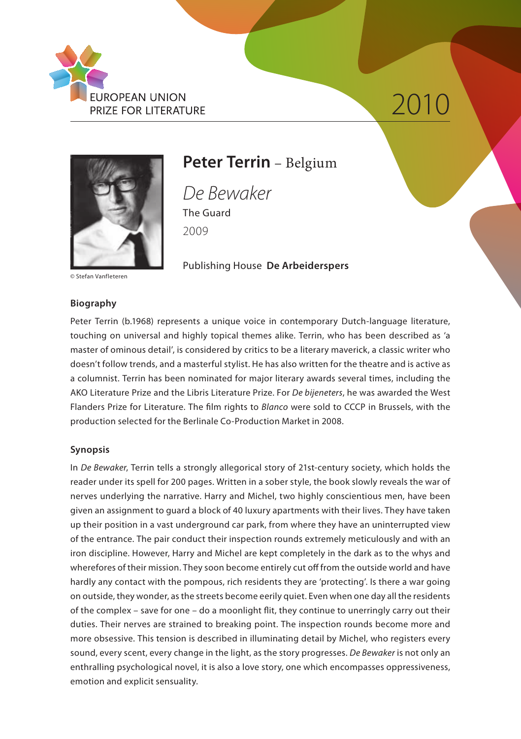

# 2010



### **Peter Terrin** – Belgium

*De Bewaker* The Guard 2009

Publishing House **De Arbeiderspers**

© Stefan Vanfleteren

#### **Biography**

Peter Terrin (b.1968) represents a unique voice in contemporary Dutch-language literature, touching on universal and highly topical themes alike. Terrin, who has been described as 'a master of ominous detail', is considered by critics to be a literary maverick, a classic writer who doesn't follow trends, and a masterful stylist. He has also written for the theatre and is active as a columnist. Terrin has been nominated for major literary awards several times, including the AKO Literature Prize and the Libris Literature Prize. For *De bijeneters*, he was awarded the West Flanders Prize for Literature. The film rights to *Blanco* were sold to CCCP in Brussels, with the production selected for the Berlinale Co-Production Market in 2008.

#### **Synopsis**

In *De Bewaker*, Terrin tells a strongly allegorical story of 21st-century society, which holds the reader under its spell for 200 pages. Written in a sober style, the book slowly reveals the war of nerves underlying the narrative. Harry and Michel, two highly conscientious men, have been given an assignment to guard a block of 40 luxury apartments with their lives. They have taken up their position in a vast underground car park, from where they have an uninterrupted view of the entrance. The pair conduct their inspection rounds extremely meticulously and with an iron discipline. However, Harry and Michel are kept completely in the dark as to the whys and wherefores of their mission. They soon become entirely cut off from the outside world and have hardly any contact with the pompous, rich residents they are 'protecting'. Is there a war going on outside, they wonder, as the streets become eerily quiet. Even when one day all the residents of the complex – save for one – do a moonlight flit, they continue to unerringly carry out their duties. Their nerves are strained to breaking point. The inspection rounds become more and more obsessive. This tension is described in illuminating detail by Michel, who registers every sound, every scent, every change in the light, as the story progresses. *De Bewaker* is not only an enthralling psychological novel, it is also a love story, one which encompasses oppressiveness, emotion and explicit sensuality.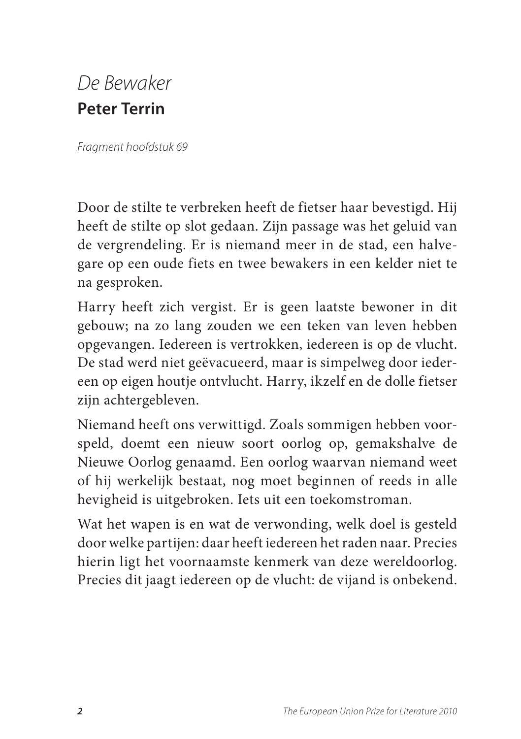## *De Bewaker* **Peter Terrin**

*Fragment hoofdstuk 69*

Door de stilte te verbreken heeft de fietser haar bevestigd. Hij heeft de stilte op slot gedaan. Zijn passage was het geluid van de vergrendeling. Er is niemand meer in de stad, een halvegare op een oude fiets en twee bewakers in een kelder niet te na gesproken.

Harry heeft zich vergist. Er is geen laatste bewoner in dit gebouw; na zo lang zouden we een teken van leven hebben opgevangen. Iedereen is vertrokken, iedereen is op de vlucht. De stad werd niet geëvacueerd, maar is simpelweg door iedereen op eigen houtje ontvlucht. Harry, ikzelf en de dolle fietser zijn achtergebleven.

Niemand heeft ons verwittigd. Zoals sommigen hebben voorspeld, doemt een nieuw soort oorlog op, gemakshalve de Nieuwe Oorlog genaamd. Een oorlog waarvan niemand weet of hij werkelijk bestaat, nog moet beginnen of reeds in alle hevigheid is uitgebroken. Iets uit een toekomstroman.

Wat het wapen is en wat de verwonding, welk doel is gesteld door welke partijen: daar heeft iedereen het raden naar. Precies hierin ligt het voornaamste kenmerk van deze wereldoorlog. Precies dit jaagt iedereen op de vlucht: de vijand is onbekend.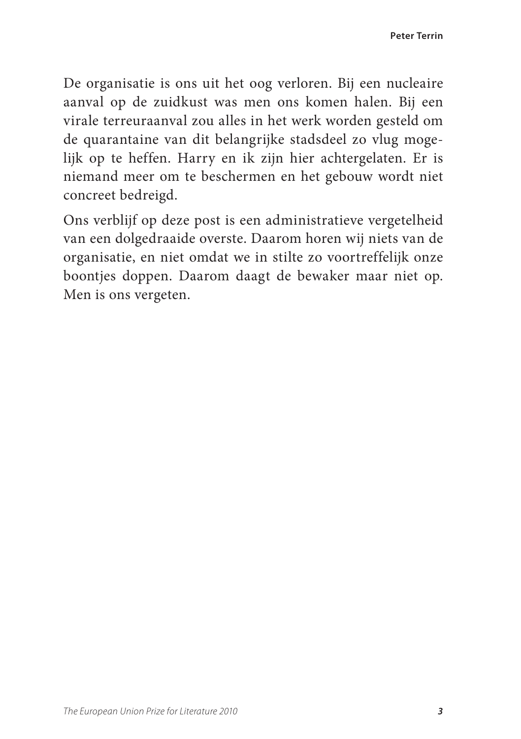De organisatie is ons uit het oog verloren. Bij een nucleaire aanval op de zuidkust was men ons komen halen. Bij een virale terreuraanval zou alles in het werk worden gesteld om de quarantaine van dit belangrijke stadsdeel zo vlug mogelijk op te heffen. Harry en ik zijn hier achtergelaten. Er is niemand meer om te beschermen en het gebouw wordt niet concreet bedreigd.

Ons verblijf op deze post is een administratieve vergetelheid van een dolgedraaide overste. Daarom horen wij niets van de organisatie, en niet omdat we in stilte zo voortreffelijk onze boontjes doppen. Daarom daagt de bewaker maar niet op. Men is ons vergeten.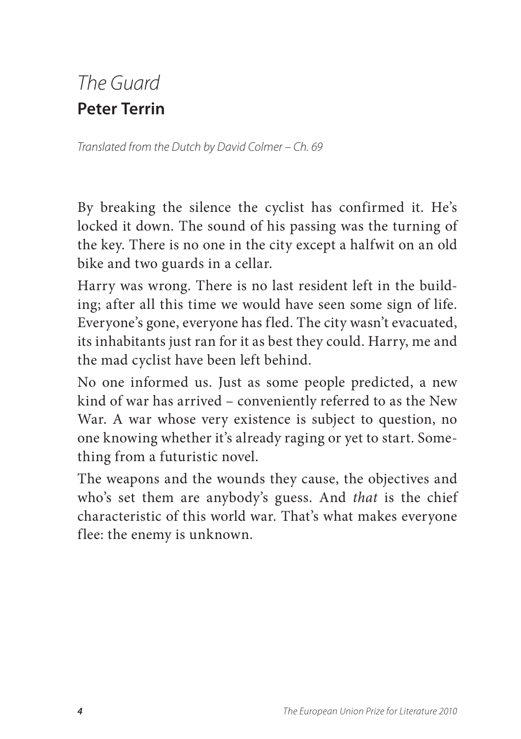# *The Guard* **Peter Terrin**

*Translated from the Dutch by David Colmer – Ch. 69*

By breaking the silence the cyclist has confirmed it. He's locked it down. The sound of his passing was the turning of the key. There is no one in the city except a halfwit on an old bike and two guards in a cellar.

Harry was wrong. There is no last resident left in the building; after all this time we would have seen some sign of life. Everyone's gone, everyone has fled. The city wasn't evacuated, its inhabitants just ran for it as best they could. Harry, me and the mad cyclist have been left behind.

No one informed us. Just as some people predicted, a new kind of war has arrived – conveniently referred to as the New War. A war whose very existence is subject to question, no one knowing whether it's already raging or yet to start. Something from a futuristic novel.

The weapons and the wounds they cause, the objectives and who's set them are anybody's guess. And *that* is the chief characteristic of this world war. That's what makes everyone flee: the enemy is unknown.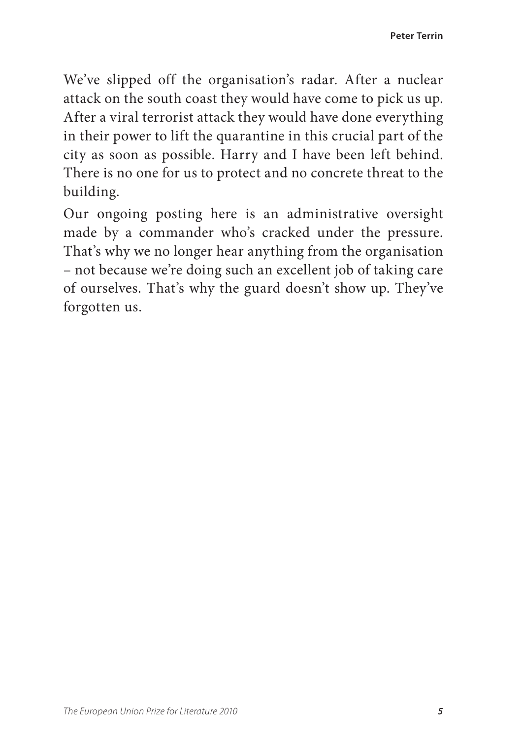We've slipped off the organisation's radar. After a nuclear attack on the south coast they would have come to pick us up. After a viral terrorist attack they would have done everything in their power to lift the quarantine in this crucial part of the city as soon as possible. Harry and I have been left behind. There is no one for us to protect and no concrete threat to the building.

Our ongoing posting here is an administrative oversight made by a commander who's cracked under the pressure. That's why we no longer hear anything from the organisation – not because we're doing such an excellent job of taking care of ourselves. That's why the guard doesn't show up. They've forgotten us.